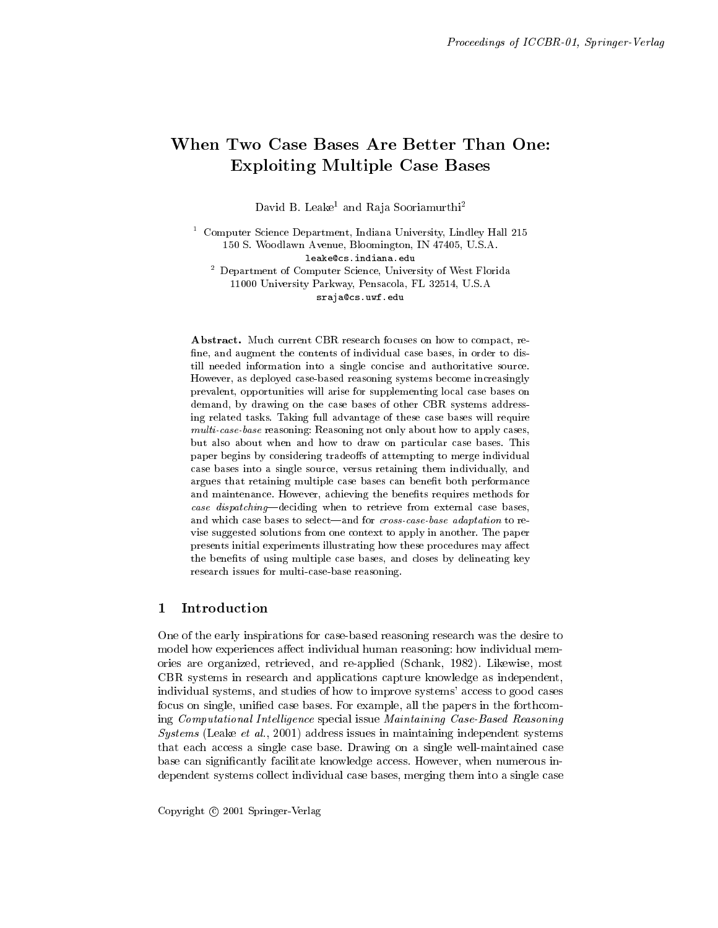# When Two Case Bases Are Better Than One: Exploiting Multiple Case Bases

David B. Leake <sup>1</sup> and Ra ja Sooriamurthi2

<sup>1</sup> Computer Science Department, Indiana University, Lindley Hall 215 150 S. Woodlawn Avenue, Bloomington, IN 47405, U.S.A. leake@cs.indiana.edu <sup>2</sup> Department of Computer Science, University of West Florida

11000 University Parkway, Pensacola, FL 32514, U.S.A sraja@cs.uwf.edu

Abstract. Much current CBR research focuses on how to compact, re fine, and augment the contents of individual case bases, in order to distill needed information into a single concise and authoritative source. However, as deployed case-based reasoning systems become increasingly prevalent, opportunities will arise for supplementing local case bases on demand, by drawing on the case bases of other CBR systems addressing related tasks. Taking full advantage of these case bases will require multi-case-base reasoning: Reasoning not only about how to apply cases, but also about when and how to draw on particular case bases. This paper begins by considering tradeoffs of attempting to merge individual case bases into a single source, versus retaining them individually, and argues that retaining multiple case bases can benet both performance and maintenance. However, achieving the benefits requires methods for  $\emph{case } \emph{ dispatching}\text{—deciding when to retrieve from external case bases,}$ and which case bases to select-and for cross-case-base adaptation to revise suggested solutions from one context to apply in another. The paper presents initial experiments illustrating how these procedures may affect the benefits of using multiple case bases, and closes by delineating key research issues for multi-case-base reasoning.

### **Introduction**  $\mathbf 1$

One of the early inspirations for case-based reasoning research was the desire to model how experiences affect individual human reasoning: how individual memories are organized, retrieved, and re-applied (Schank, 1982). Likewise, most CBR systems in research and applications capture knowledge as independent, individual systems, and studies of how to improve systems' access to good cases focus on single, unified case bases. For example, all the papers in the forthcoming Computational Intelligence special issue Maintaining Case-Based Reasoning Systems (Leake et al., 2001) address issues in maintaining independent systems that each access a single case base. Drawing on a single well-maintained case base can signicantly facilitate knowledge access. However, when numerous independent systems collect individual case bases, merging them into a single case

Copyright © 2001 Springer-Verlag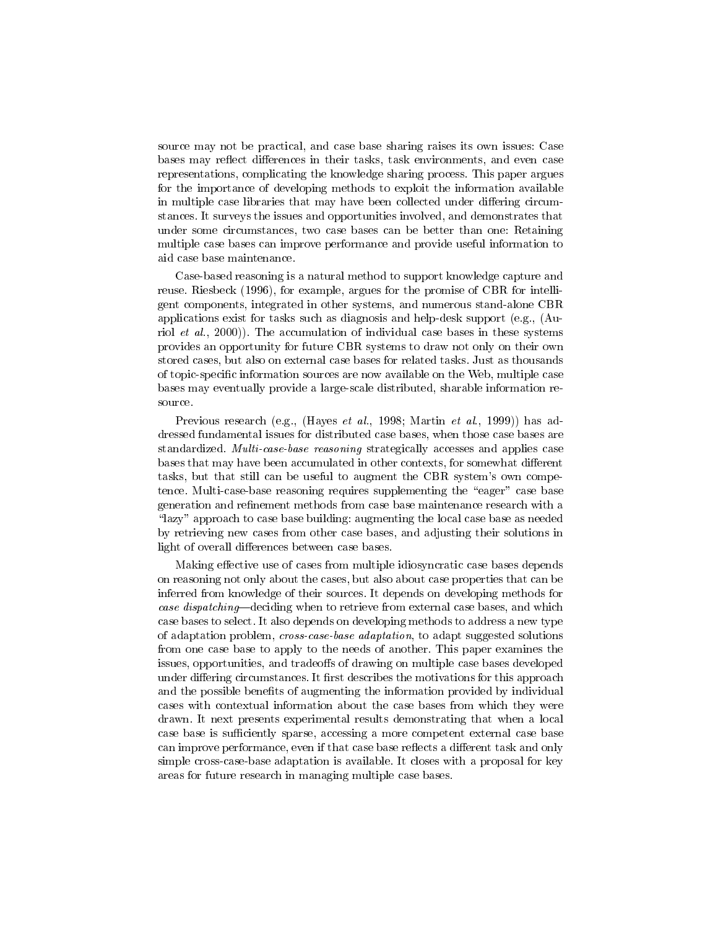source may not be practical, and case base sharing raises its own issues: Case bases may reflect differences in their tasks, task environments, and even case representations, complicating the knowledge sharing process. This paper argues for the importance of developing methods to exploit the information available in multiple case libraries that may have been collected under differing circumstances. It surveys the issues and opportunities involved, and demonstrates that under some circumstances, two case bases can be better than one: Retaining multiple case bases can improve performance and provide useful information to aid case base maintenance.

Case-based reasoning is a natural method to support knowledge capture and reuse. Riesbeck (1996), for example, argues for the promise of CBR for intelligent components, integrated in other systems, and numerous stand-alone CBR applications exist for tasks such as diagnosis and help-desk support (e.g., (Auriol et al., 2000)). The accumulation of individual case bases in these systems provides an opportunity for future CBR systems to draw not only on their own stored cases, but also on external case bases for related tasks. Just as thousands of topic-specic information sources are now available on the Web, multiple case bases may eventually provide a large-scale distributed, sharable information resource.

Previous research (e.g., (Hayes et al., 1998; Martin et al., 1999)) has addressed fundamental issues for distributed case bases, when those case bases are standardized. Multi-case-base reasoning strategically accesses and applies case bases that may have been accumulated in other contexts, for somewhat different tasks, but that still can be useful to augment the CBR system's own competence. Multi-case-base reasoning requires supplementing the "eager" case base generation and refinement methods from case base maintenance research with a "lazy" approach to case base building: augmenting the local case base as needed by retrieving new cases from other case bases, and adjusting their solutions in light of overall differences between case bases.

Making effective use of cases from multiple idiosyncratic case bases depends on reasoning not only about the cases, but also about case properties that can be inferred from knowledge of their sources. It depends on developing methods for case dispatching—deciding when to retrieve from external case bases, and which case bases to select. It also depends on developing methods to address a new type of adaptation problem, cross-case-base adaptation, to adapt suggested solutions from one case base to apply to the needs of another. This paper examines the issues, opportunities, and tradeoffs of drawing on multiple case bases developed under differing circumstances. It first describes the motivations for this approach and the possible benefits of augmenting the information provided by individual cases with contextual information about the case bases from which they were drawn. It next presents experimental results demonstrating that when a local case base is sufficiently sparse, accessing a more competent external case base can improve performance, even if that case base reflects a different task and only simple cross-case-base adaptation is available. It closes with a proposal for key areas for future research in managing multiple case bases.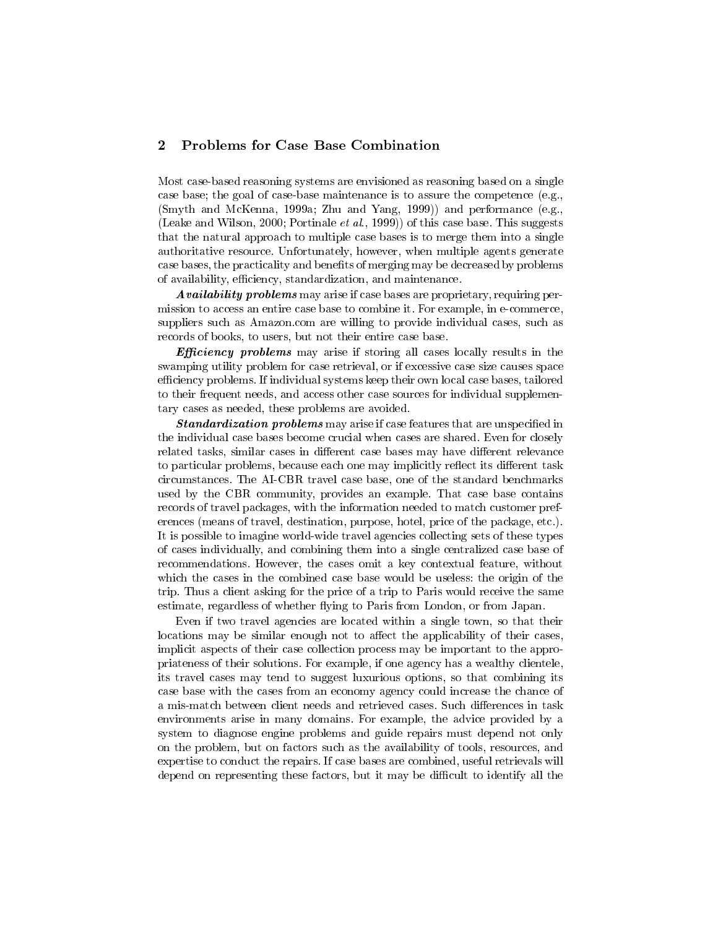### **Problems for Case Base Combination**  $\mathbf 2$

Most case-based reasoning systems are envisioned as reasoning based on a single case base; the goal of case-base maintenance is to assure the competence (e.g., (Smyth and McKenna, 1999a; Zhu and Yang, 1999)) and performance (e.g., (Leake and Wilson, 2000; Portinale et al., 1999)) of this case base. This suggests that the natural approach to multiple case bases is to merge them into a single authoritative resource. Unfortunately, however, when multiple agents generate case bases, the practicality and benets of merging may be decreased by problems of availability, efficiency, standardization, and maintenance.

Availability problems may arise if case bases are proprietary, requiring permission to access an entire case base to combine it. For example, in e-commerce, suppliers such as Amazon.com are willing to provide individual cases, such as records of books, to users, but not their entire case base.

**Efficiency problems** may arise if storing all cases locally results in the swamping utility problem for case retrieval, or if excessive case size causes space efficiency problems. If individual systems keep their own local case bases, tailored to their frequent needs, and access other case sources for individual supplementary cases as needed, these problems are avoided.

**Standardization problems** may arise if case features that are unspecified in the individual case bases become crucial when cases are shared. Even for closely related tasks, similar cases in different case bases may have different relevance to particular problems, because each one may implicitly reflect its different task circumstances. The AI-CBR travel case base, one of the standard benchmarks used by the CBR community, provides an example. That case base contains records of travel packages, with the information needed to match customer preferences (means of travel, destination, purpose, hotel, price of the package, etc.). It is possible to imagine world-wide travel agencies collecting sets of these types of cases individually, and combining them into a single centralized case base of recommendations. However, the cases omit a key contextual feature, without which the cases in the combined case base would be useless: the origin of the trip. Thus a client asking for the price of a trip to Paris would receive the same estimate, regardless of whether flying to Paris from London, or from Japan.

Even if two travel agencies are located within a single town, so that their locations may be similar enough not to affect the applicability of their cases, implicit aspects of their case collection process may be important to the appropriateness of their solutions. For example, if one agency has a wealthy clientele, its travel cases may tend to suggest luxurious options, so that combining its case base with the cases from an economy agency could increase the chance of a mis-match between client needs and retrieved cases. Such differences in task environments arise in many domains. For example, the advice provided by a system to diagnose engine problems and guide repairs must depend not only on the problem, but on factors such as the availability of tools, resources, and expertise to conduct the repairs. If case bases are combined, useful retrievals will depend on representing these factors, but it may be difficult to identify all the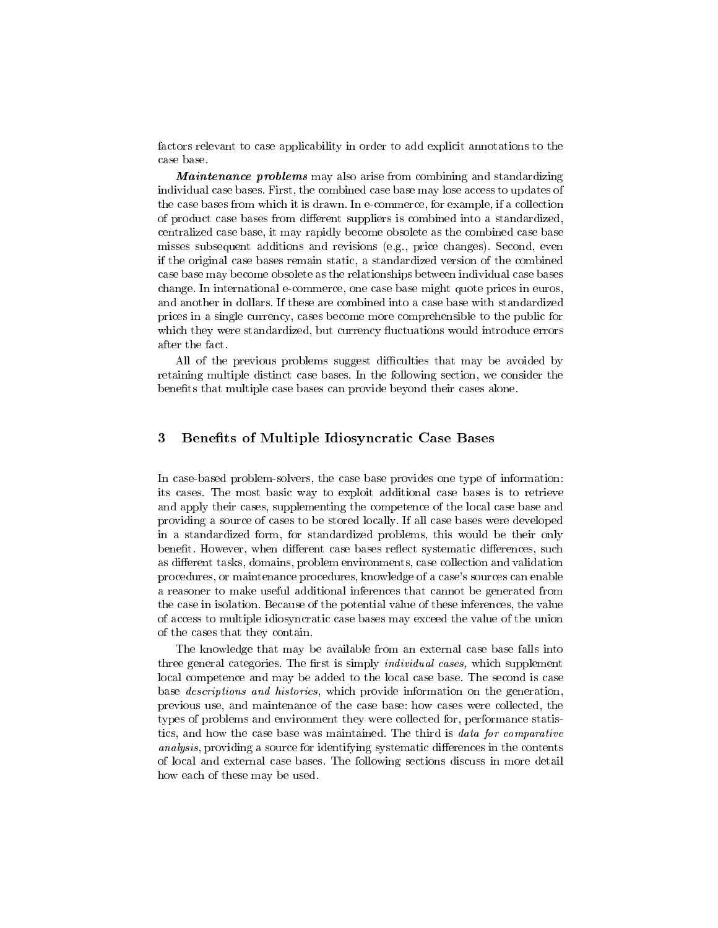factors relevant to case applicability in order to add explicit annotations to the case base.

**Maintenance problems** may also arise from combining and standardizing individual case bases. First, the combined case base may lose access to updates of the case bases from which it is drawn. In e-commerce, for example, if a collection of product case bases from different suppliers is combined into a standardized, centralized case base, it may rapidly become obsolete as the combined case base misses subsequent additions and revisions (e.g., price changes). Second, even if the original case bases remain static, a standardized version of the combined case base may become obsolete as the relationships between individual case bases change. In international e-commerce, one case base might quote prices in euros, and another in dollars. If these are combined into a case base with standardized prices in a single currency, cases become more comprehensible to the public for which they were standardized, but currency fluctuations would introduce errors after the fact.

All of the previous problems suggest difficulties that may be avoided by retaining multiple distinct case bases. In the following section, we consider the benefits that multiple case bases can provide beyond their cases alone.

### Benefits of Multiple Idiosyncratic Case Bases 3

In case-based problem-solvers, the case base provides one type of information: its cases. The most basic way to exploit additional case bases is to retrieve and apply their cases, supplementing the competence of the local case base and providing a source of cases to be stored locally. If all case bases were developed in a standardized form, for standardized problems, this would be their only benefit. However, when different case bases reflect systematic differences, such as different tasks, domains, problem environments, case collection and validation procedures, or maintenance procedures, knowledge of a case's sources can enable a reasoner to make useful additional inferences that cannot be generated from the case in isolation. Because of the potential value of these inferences, the value of access to multiple idiosyncratic case bases may exceed the value of the union of the cases that they contain.

The knowledge that may be available from an external case base falls into three general categories. The first is simply *individual cases*, which supplement local competence and may be added to the local case base. The second is case base descriptions and histories, which provide information on the generation, previous use, and maintenance of the case base: how cases were collected, the types of problems and environment they were collected for, performance statistics, and how the case base was maintained. The third is data for comparative analysis, providing a source for identifying systematic differences in the contents of local and external case bases. The following sections discuss in more detail how each of these may be used.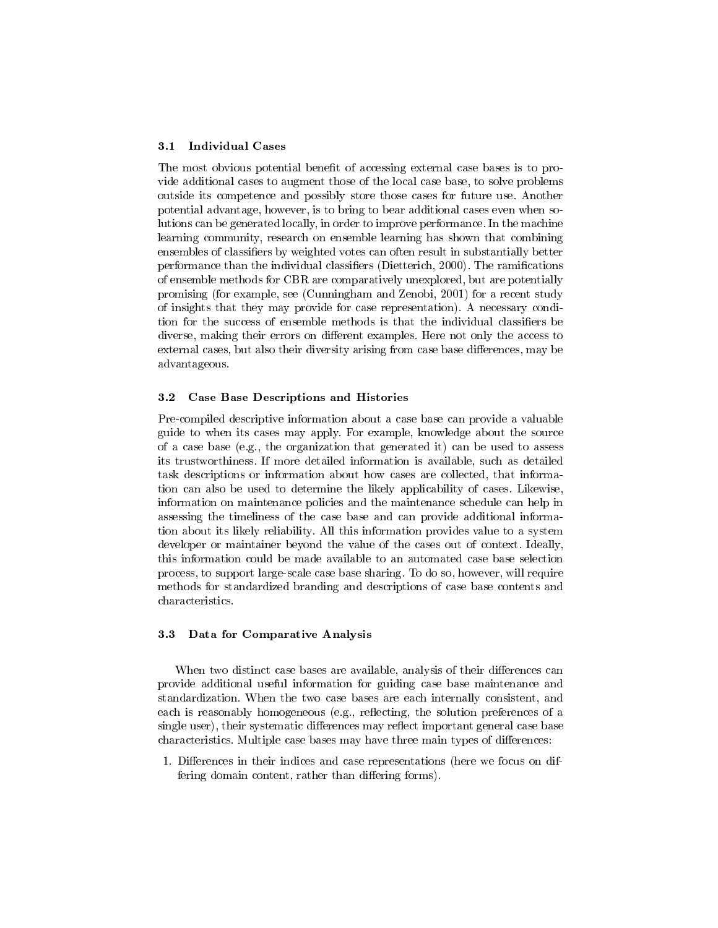### **Individual Cases**  $3.1$

The most obvious potential benefit of accessing external case bases is to provide additional cases to augment those of the local case base, to solve problems outside its competence and possibly store those cases for future use. Another potential advantage, however, is to bring to bear additional cases even when solutions can be generated locally, in order to improve performance. In the machine learning community, research on ensemble learning has shown that combining ensembles of classiers by weighted votes can often result in substantially better performance than the individual classiers (Dietterich, 2000). The ramications of ensemble methods for CBR are comparatively unexplored, but are potentially promising (for example, see (Cunningham and Zenobi, 2001) for a recent study of insights that they may provide for case representation). A necessary condition for the success of ensemble methods is that the individual classiers be diverse, making their errors on different examples. Here not only the access to external cases, but also their diversity arising from case base differences, may be advantageous.

### $3.2$ 3.2 Case Base Descriptions and Histories

Pre-compiled descriptive information about a case base can provide a valuable guide to when its cases may apply. For example, knowledge about the source of a case base (e.g., the organization that generated it) can be used to assess its trustworthiness. If more detailed information is available, such as detailed task descriptions or information about how cases are collected, that information can also be used to determine the likely applicability of cases. Likewise, information on maintenance policies and the maintenance schedule can help in assessing the timeliness of the case base and can provide additional information about its likely reliability. All this information provides value to a system developer or maintainer beyond the value of the cases out of context. Ideally, this information could be made available to an automated case base selection process, to support large-scale case base sharing. To do so, however, will require methods for standardized branding and descriptions of case base contents and characteristics.

### Data for Comparative Analysis  $3.3$

When two distinct case bases are available, analysis of their differences can provide additional useful information for guiding case base maintenance and standardization. When the two case bases are each internally consistent, and each is reasonably homogeneous (e.g., reflecting, the solution preferences of a single user), their systematic differences may reflect important general case base characteristics. Multiple case bases may have three main types of differences:

1. Differences in their indices and case representations (here we focus on differing domain content, rather than differing forms).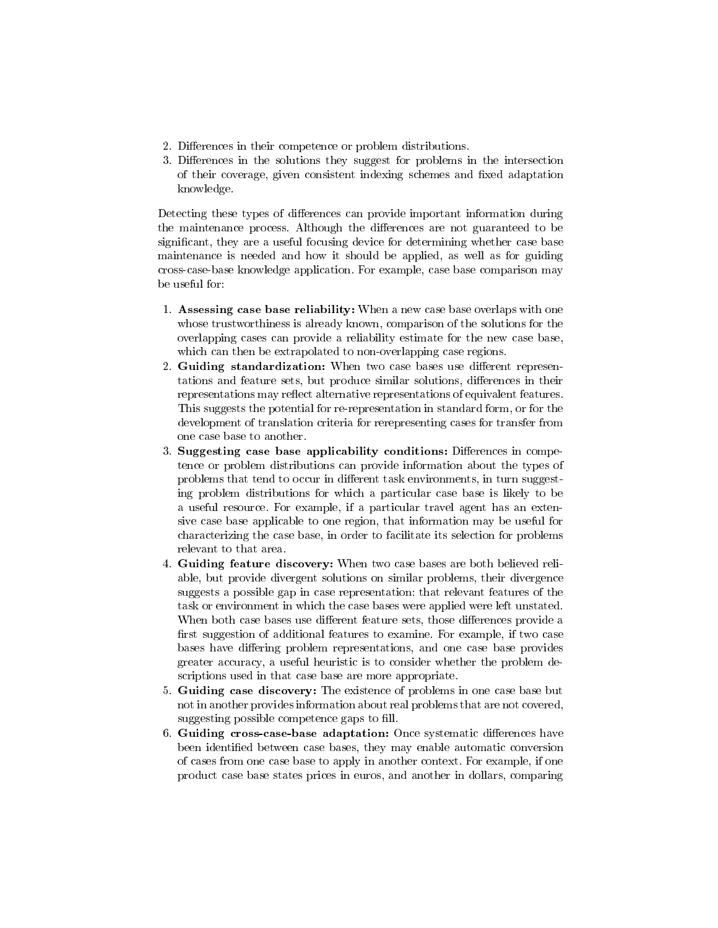- 2. Differences in their competence or problem distributions.
- 3. Differences in the solutions they suggest for problems in the intersection of their coverage, given consistent indexing schemes and fixed adaptation knowledge.

Detecting these types of differences can provide important information during the maintenance process. Although the differences are not guaranteed to be signicant, they are a useful focusing device for determining whether case base maintenance is needed and how it should be applied, as well as for guiding cross-case-base knowledge application. For example, case base comparison may be useful for:

- 1. Assessing case base reliability: When a new case base overlaps with one whose trustworthiness is already known, comparison of the solutions for the overlapping cases can provide a reliability estimate for the new case base, which can then be extrapolated to non-overlapping case regions.
- 2. Guiding standardization: When two case bases use different representations and feature sets, but produce similar solutions, differences in their representations may reflect alternative representations of equivalent features. This suggests the potential for re-representation in standard form, or for the development of translation criteria for rerepresenting cases for transfer from one case base to another.
- 3. Suggesting case base applicability conditions: Differences in competence or problem distributions can provide information about the types of problems that tend to occur in different task environments, in turn suggesting problem distributions for which a particular case base is likely to be a useful resource. For example, if a particular travel agent has an extensive case base applicable to one region, that information may be useful for characterizing the case base, in order to facilitate its selection for problems relevant to that area.
- 4. Guiding feature discovery: When two case bases are both believed reliable, but provide divergent solutions on similar problems, their divergence suggests a possible gap in case representation: that relevant features of the task or environment in which the case bases were applied were left unstated. When both case bases use different feature sets, those differences provide a first suggestion of additional features to examine. For example, if two case bases have differing problem representations, and one case base provides greater accuracy, a useful heuristic is to consider whether the problem descriptions used in that case base are more appropriate.
- 5. Guiding case discovery: The existence of problems in one case base but not in another provides information about real problems that are not covered, suggesting possible competence gaps to fill.
- 6. Guiding cross-case-base adaptation: Once systematic differences have been identied between case bases, they may enable automatic conversion of cases from one case base to apply in another context. For example, if one product case base states prices in euros, and another in dollars, comparing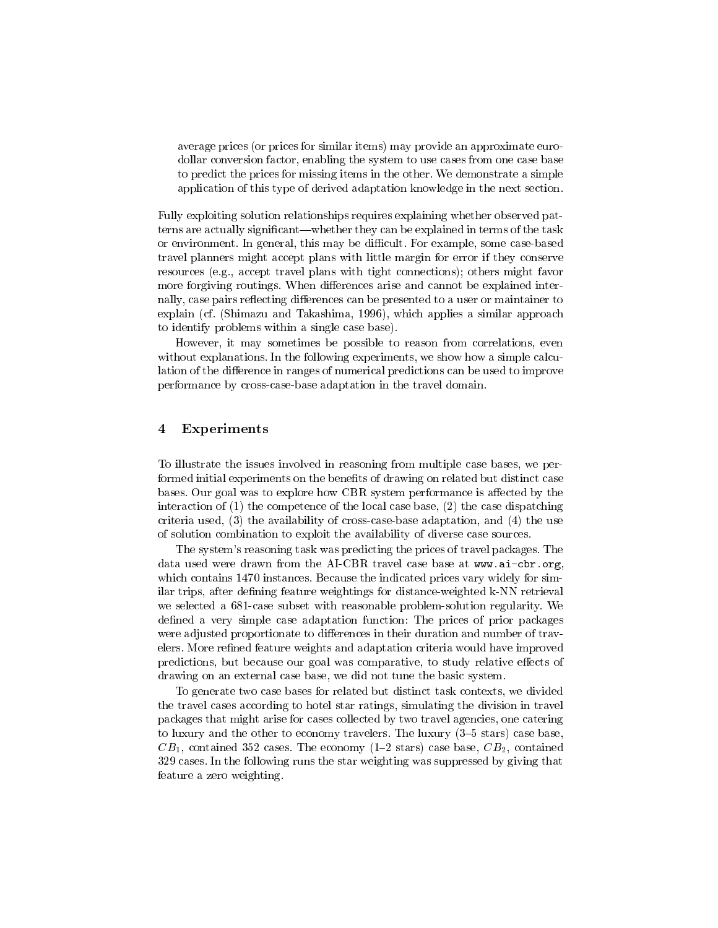average prices (or prices for similar items) may provide an approximate eurodollar conversion factor, enabling the system to use cases from one case base to predict the prices for missing items in the other. We demonstrate a simple application of this type of derived adaptation knowledge in the next section.

Fully exploiting solution relationships requires explaining whether observed patterns are actually significant—whether they can be explained in terms of the task or environment. In general, this may be difficult. For example, some case-based travel planners might accept plans with little margin for error if they conserve resources (e.g., accept travel plans with tight connections); others might favor more forgiving routings. When differences arise and cannot be explained internally, case pairs reflecting differences can be presented to a user or maintainer to explain (cf. (Shimazu and Takashima, 1996), which applies a similar approach to identify problems within a single case base).

However, it may sometimes be possible to reason from correlations, even without explanations. In the following experiments, we show how a simple calculation of the difference in ranges of numerical predictions can be used to improve performance by cross-case-base adaptation in the travel domain.

## 4 Experiments

To illustrate the issues involved in reasoning from multiple case bases, we performed initial experiments on the benets of drawing on related but distinct case bases. Our goal was to explore how CBR system performance is affected by the interaction of (1) the competence of the local case base, (2) the case dispatching criteria used, (3) the availability of cross-case-base adaptation, and (4) the use of solution combination to exploit the availability of diverse case sources.

The system's reasoning task was predicting the prices of travel packages. The data used were drawn from the AI-CBR travel case base at www.ai-cbr.org, which contains 1470 instances. Because the indicated prices vary widely for similar trips, after defining feature weightings for distance-weighted k-NN retrieval we selected a 681-case subset with reasonable problem-solution regularity. We defined a very simple case adaptation function: The prices of prior packages were adjusted proportionate to differences in their duration and number of travelers. More refined feature weights and adaptation criteria would have improved predictions, but because our goal was comparative, to study relative effects of drawing on an external case base, we did not tune the basic system.

To generate two case bases for related but distinct task contexts, we divided the travel cases according to hotel star ratings, simulating the division in travel packages that might arise for cases collected by two travel agencies, one catering to luxury and the other to economy travelers. The luxury  $(3-5 \text{ stars})$  case base,  $CB_1$ , contained 352 cases. The economy (1-2 stars) case base,  $CB_2$ , contained 329 cases. In the following runs the star weighting was suppressed by giving that feature a zero weighting.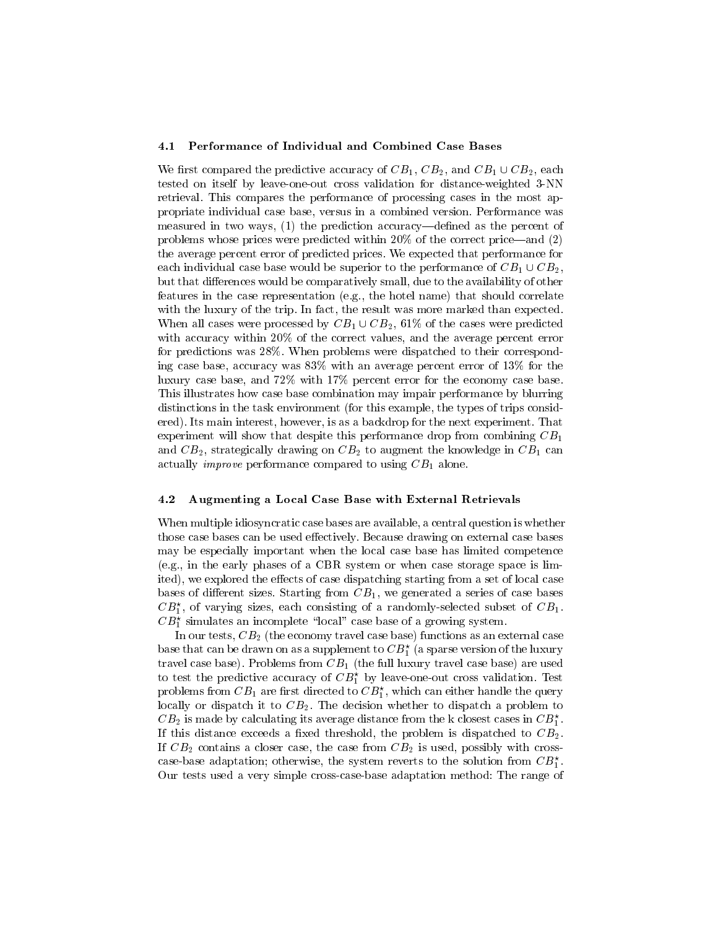### 4.1 Performance of Individual and Combined Case Bases 4.1

We first compared the predictive accuracy of  $CB_1$ ,  $CB_2$ , and  $CB_1 \cup CB_2$ , each tested on itself by leave-one-out cross validation for distance-weighted 3-NN retrieval. This compares the performance of processing cases in the most appropriate individual case base, versus in a combined version. Performance was measured in two ways,  $(1)$  the prediction accuracy—defined as the percent of problems whose prices were predicted within  $20\%$  of the correct price—and (2) the average percent error of predicted prices. We expected that performance for each individual case base would be superior to the performance of  $CB_1 \cup CB_2$ , but that differences would be comparatively small, due to the availability of other features in the case representation (e.g., the hotel name) that should correlate with the luxury of the trip. In fact, the result was more marked than expected. When all cases were processed by  $CB_1 \cup CB_2$ , 61% of the cases were predicted with accuracy within 20% of the correct values, and the average percent error for predictions was 28%. When problems were dispatched to their corresponding case base, accuracy was 83% with an average percent error of 13% for the luxury case base, and 72% with 17% percent error for the economy case base. This illustrates how case base combination may impair performance by blurring distinctions in the task environment (for this example, the types of trips considered). Its main interest, however, is as a backdrop for the next experiment. That experiment will show that despite this performance drop from combining  $CB_1$ and  $CB_2$ , strategically drawing on  $CB_2$  to augment the knowledge in  $CB_1$  can actually *improve* performance compared to using  $CB<sub>1</sub>$  alone.

### 4.2 Augmenting a Local Case Base with External Retrievals

When multiple idiosyncratic case bases are available, a central question is whether those case bases can be used effectively. Because drawing on external case bases may be especially important when the local case base has limited competence (e.g., in the early phases of a CBR system or when case storage space is limited), we explored the effects of case dispatching starting from a set of local case bases of different sizes. Starting from  $CB_1$ , we generated a series of case bases  $CD_1$ , of varying sizes, each consisting of a randomly-selected subset of  $CD_1$ .  $CD_1^+$  simulates an incomplete  $\vert$  local  $\vert$  case base of a growing system.

In our tests,  $CB_2$  (the economy travel case base) functions as an external case base that can be drawn on as a supplement to  $\mathcal{O}D_1^+$  (a sparse version of the luxury travel case base). Problems from  $CB<sub>1</sub>$  (the full luxury travel case base) are used to test the predictive accuracy of  $CD_1^-$  by leave-one-out cross validation. Test problems from  $C\,D_1$  are first directed to  $C\,D_1^{}$  , which can either handle the query locally or dispatch it to  $CB_2$ . The decision whether to dispatch a problem to  $CD_2$  is made by calculating its average distance from the k closest cases in  $CD_1^+.$ If this distance exceeds a fixed threshold, the problem is dispatched to  $CB_2$ . If  $CB_2$  contains a closer case, the case from  $CB_2$  is used, possibly with crosscase-base adaptation; otherwise, the system reverts to the solution from  $\mathcal{CD}_{1}^{\perp}$ . Our tests used a very simple cross-case-base adaptation method: The range of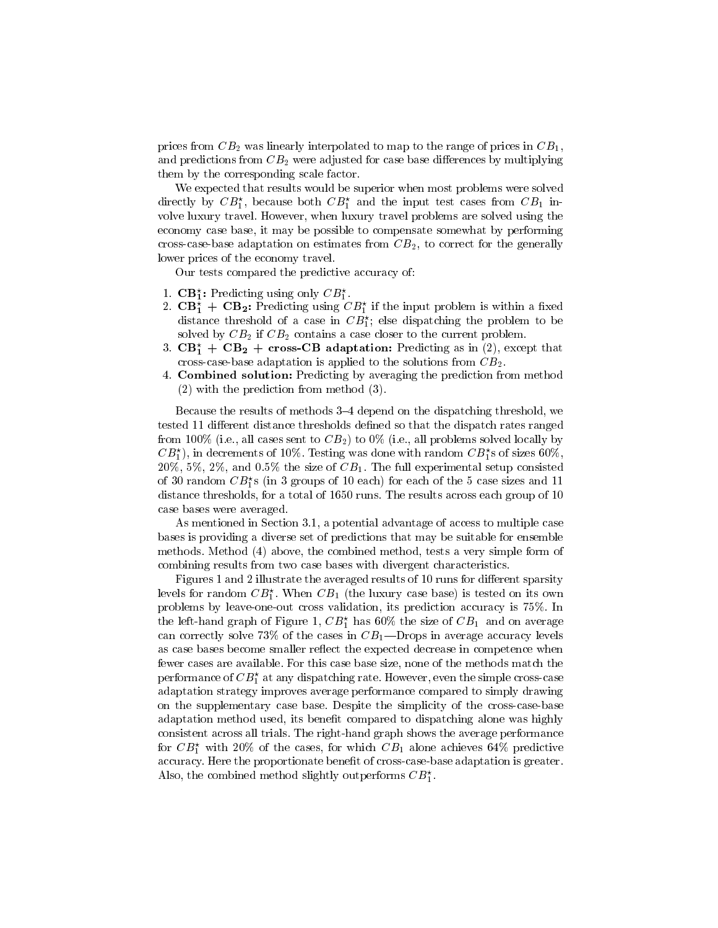prices from  $CB_2$  was linearly interpolated to map to the range of prices in  $CB_1$ , and predictions from  $CB<sub>2</sub>$  were adjusted for case base differences by multiplying them by the corresponding scale factor.

We expected that results would be superior when most problems were solved directly by  $CD_1^c$ , because both  $CD_1^c$  and the input test cases from  $CD_1$  involve luxury travel. However, when luxury travel problems are solved using the economy case base, it may be possible to compensate somewhat by performing cross-case-base adaptation on estimates from  $CB_2$ , to correct for the generally lower prices of the economy travel.

Our tests compared the predictive accuracy of:

- 1.  $CD_1$ : Predicting using only  $CD_1$ .
- 2.  $CD_1^+$  +  $CD_2^+$ : Predicting using  $CD_1^+$  if the input problem is within a fixed distance threshold of a case in  $CD_{1}^{+}$ ; else dispatching the problem to be solved by  $CB_2$  if  $CB_2$  contains a case closer to the current problem.
- 3.  $CB_1^* + CB_2 + cross-CB$  adaptation: Predicting as in (2), except that cross-case-base adaptation is applied to the solutions from  $CB<sub>2</sub>$ .
- 4. Combined solution: Predicting by averaging the prediction from method (2) with the prediction from method (3).

Because the results of methods 3–4 depend on the dispatching threshold, we tested 11 different distance thresholds defined so that the dispatch rates ranged from 100% (i.e., all cases sent to  $CB_2$ ) to 0% (i.e., all problems solved locally by  $CD_1^+$ ), in decrements of 10%. Testing was done with random  $CD_1^+$ s of sizes  $60\%$ , 20%, 5%, 2%, and 0.5% the size of  $CB_1$ . The full experimental setup consisted of 30 random  $\epsilon D_{1}^{\mathrm{rs}}$  (in 3 groups of 10 each) for each of the 5 case sizes and 11 distance thresholds, for a total of 1650 runs. The results across each group of 10 case bases were averaged.

As mentioned in Section 3.1, a potential advantage of access to multiple case bases is providing a diverse set of predictions that may be suitable for ensemble methods. Method (4) above, the combined method, tests a very simple form of combining results from two case bases with divergent characteristics.

Figures 1 and 2 illustrate the averaged results of 10 runs for different sparsity levels for random  $\epsilon_{B1}$  , when  $\epsilon_{B1}$  (the luxury case base) is tested on its own problems by leave-one-out cross validation, its prediction accuracy is 75%. In the left-hand graph of Figure 1,  $CD_1^+$  has 60% the size of  $CD_1^-$  and on average can correctly solve 73% of the cases in  $CB_1$ —Drops in average accuracy levels as case bases become smaller reflect the expected decrease in competence when fewer cases are available. For this case base size, none of the methods match the performance of  $C\,D_1^+$  at any dispatching rate. However, even the simple cross-case adaptation strategy improves average performance compared to simply drawing on the supplementary case base. Despite the simplicity of the cross-case-base adaptation method used, its benet compared to dispatching alone was highly consistent across all trials. The right-hand graph shows the average performance for  $CD_1^+$  with 20% of the cases, for which  $CD_1^-$  alone achieves 64% predictive accuracy. Here the proportionate benefit of cross-case-base adaptation is greater. Also, the combined method slightly outperforms  $\mathcal{CD}_1^c$ .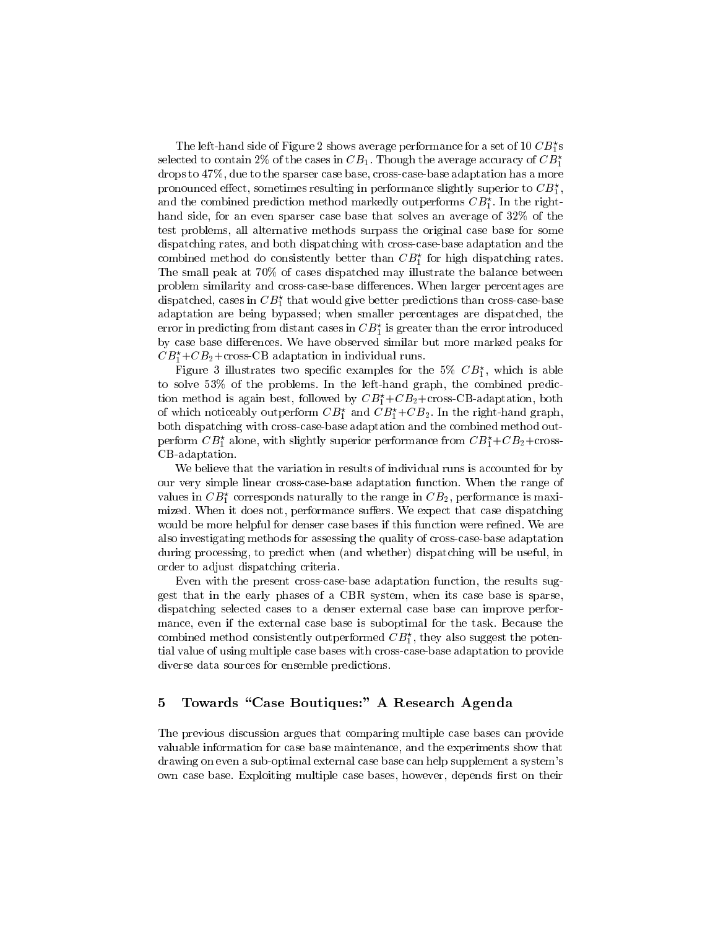The left-hand side of Figure 2 shows average performance for a set of 10 C  $D_1^{}$  s selected to contain 2% of the cases in  $CB_1$ . Though the average accuracy of  $CB_1^*$ drops to 47%, due to the sparser case base, cross-case-base adaptation has a more pronounced effect, sometimes resulting in performance slightly superior to  $\cup B_1^+,$ and the combined prediction method markedly outperforms  $\mathcal{CD}_1^c$ . In the righthand side, for an even sparser case base that solves an average of 32% of the test problems, all alternative methods surpass the original case base for some dispatching rates, and both dispatching with cross-case-base adaptation and the combined method do consistently better than  $\mathcal{CD}_1$  for mgn dispatching rates. The small peak at 70% of cases dispatched may illustrate the balance between problem similarity and cross-case-base differences. When larger percentages are dispatched, cases in  $\mathcal{CD}^+_1$  that would give better predictions than cross-case-base adaptation are being bypassed; when smaller percentages are dispatched, the error in predicting from distant cases in  $\mathcal{CP}_1^+$  is greater than the error introduced by case base differences. We have observed similar but more marked peaks for  $CD_1 + CD_2 + cross-CD$  adaptation in individual runs.

Figure 3 illustrates two specific examples for the 5%  $CD_1^{\cdot}$ , which is able to solve 53% of the problems. In the left-hand graph, the combined prediction method is again best, followed by  $\overline{CD}_1^+\overline{+CD}_2+$ cross- $\overline{CD}$ -adaptation, both of which noticeably outperform  $\cup$   $B_1^+$  and  $\cup$   $B_1^+$ + $\cup$   $B_2^+$ . In the right-hand graph, both dispatching with cross-case-base adaptation and the combined method outperform  $CD_1$  alone, with slightly superior performance from  $CD_1+CD_2+cross-$ CB-adaptation.

We believe that the variation in results of individual runs is accounted for by our very simple linear cross-case-base adaptation function. When the range of values in  $CD_1$  corresponds naturally to the range in  $CD_2$ , performance is maximized. When it does not, performance suffers. We expect that case dispatching would be more helpful for denser case bases if this function were refined. We are also investigating methods for assessing the quality of cross-case-base adaptation during processing, to predict when (and whether) dispatching will be useful, in order to adjust dispatching criteria.

Even with the present cross-case-base adaptation function, the results suggest that in the early phases of a CBR system, when its case base is sparse, dispatching selected cases to a denser external case base can improve performance, even if the external case base is suboptimal for the task. Because the combined method consistently outperformed  $\mathop{\cup} D_1^{\cdot}$ , they also suggest the potential value of using multiple case bases with cross-case-base adaptation to provide diverse data sources for ensemble predictions.

## 5 Towards \Case Boutiques:" A Research Agenda

The previous discussion argues that comparing multiple case bases can provide valuable information for case base maintenance, and the experiments show that drawing on even a sub-optimal external case base can help supplement a system's own case base. Exploiting multiple case bases, however, depends first on their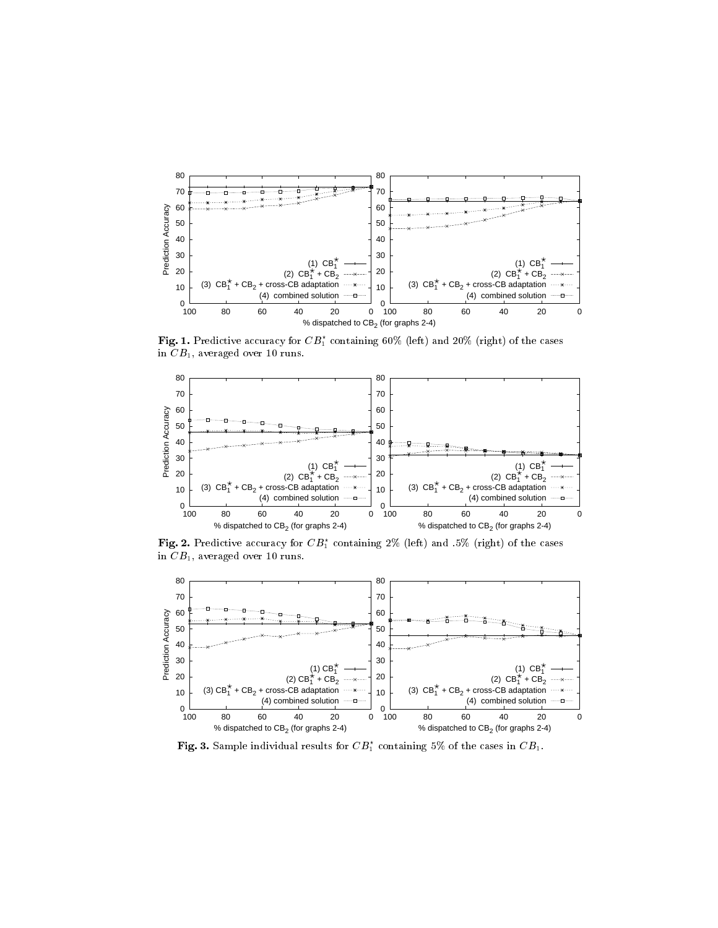

**Fig. 1.** Predictive accuracy for  $CB_1$  containing 60% (left) and 20% (right) of the cases in  $CB_1$ , averaged over 10 runs.



**Fig. 2.** Predictive accuracy for  $CB_1$  containing 2% (left) and .5% (right) of the cases in  $CB_1$ , averaged over 10 runs.



**Fig. 3.** Sample individual results for  $UB_1$  containing 5% of the cases in  $UB_1$ .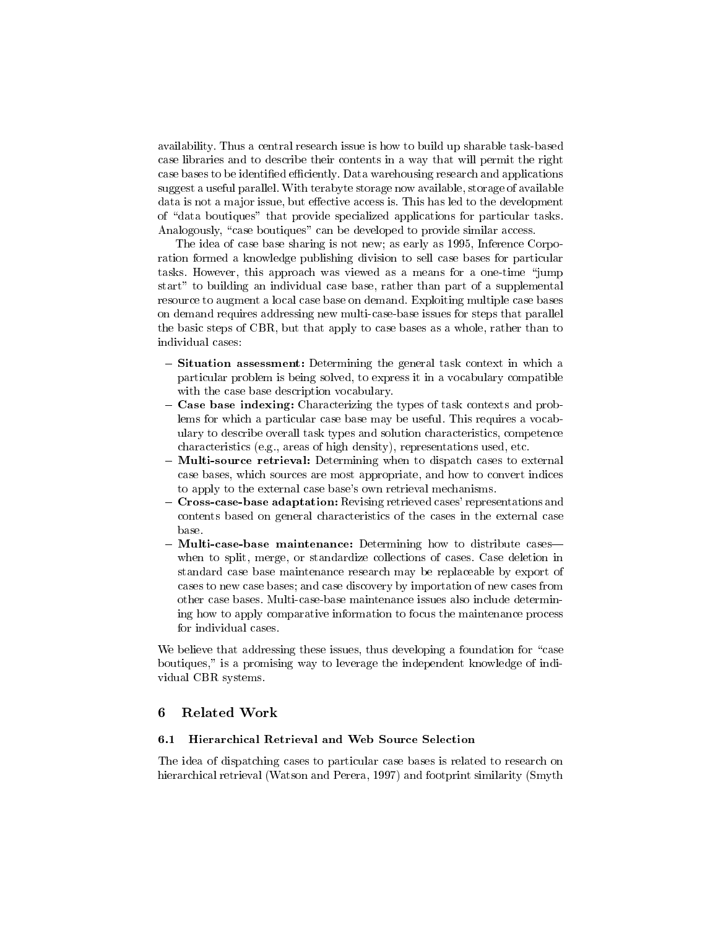availability. Thus a central research issue is how to build up sharable task-based case libraries and to describe their contents in a way that will permit the right case bases to be identified efficiently. Data warehousing research and applications suggest a useful parallel. With terabyte storage now available, storage of available data is not a major issue, but effective access is. This has led to the development of "data boutiques" that provide specialized applications for particular tasks. Analogously, "case boutiques" can be developed to provide similar access.

The idea of case base sharing is not new; as early as 1995, Inference Corporation formed a knowledge publishing division to sell case bases for particular tasks. However, this approach was viewed as a means for a one-time \jump start" to building an individual case base, rather than part of a supplemental resource to augment a local case base on demand. Exploiting multiple case bases on demand requires addressing new multi-case-base issues for steps that parallel the basic steps of CBR, but that apply to case bases as a whole, rather than to individual cases:

- Situation assessment: Determining the general task context in which a particular problem is being solved, to express it in a vocabulary compatible with the case base description vocabulary.
- Case base indexing: Characterizing the types of task contexts and problems for which a particular case base may be useful. This requires a vocabulary to describe overall task types and solution characteristics, competence characteristics (e.g., areas of high density), representations used, etc.
- **Multi-source retrieval:** Determining when to dispatch cases to external case bases, which sources are most appropriate, and how to convert indices to apply to the external case base's own retrieval mechanisms.
- Cross-case-base adaptation: Revising retrieved cases' representations and contents based on general characteristics of the cases in the external case base.
- $-$  Multi-case-base maintenance: Determining how to distribute cases when to split, merge, or standardize collections of cases. Case deletion in standard case base maintenance research may be replaceable by export of cases to new case bases; and case discovery by importation of new cases from other case bases. Multi-case-base maintenance issues also include determining how to apply comparative information to focus the maintenance process for individual cases.

We believe that addressing these issues, thus developing a foundation for "case boutiques," is a promising way to leverage the independent knowledge of individual CBR systems.

### 6 Related Work

#### $6.1$ **Hierarchical Retrieval and Web Source Selection**

The idea of dispatching cases to particular case bases is related to research on hierarchical retrieval (Watson and Perera, 1997) and footprint similarity (Smyth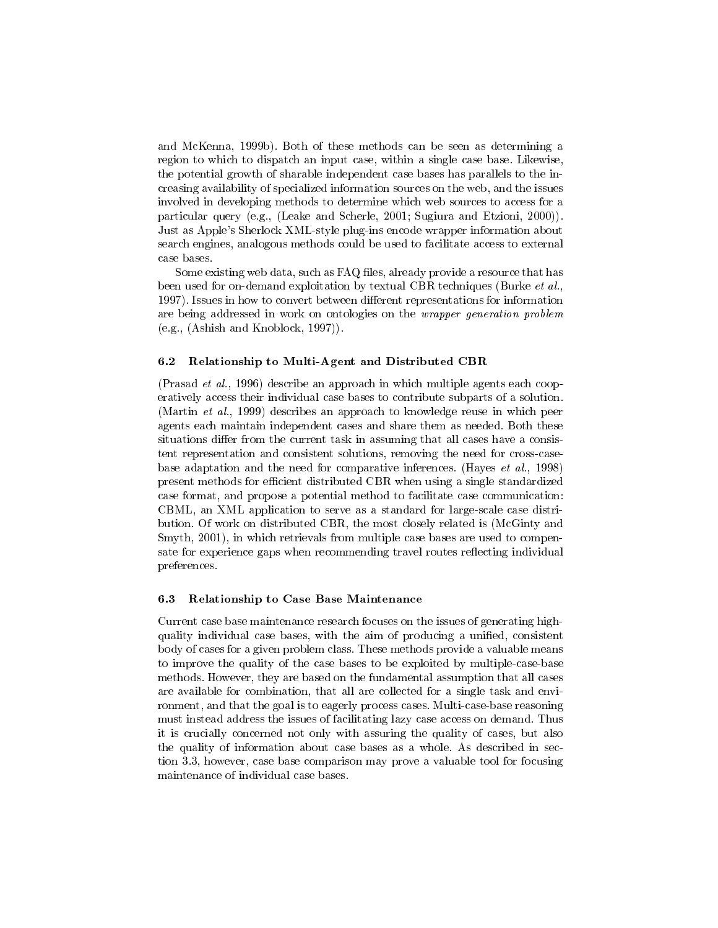and McKenna, 1999b). Both of these methods can be seen as determining a region to which to dispatch an input case, within a single case base. Likewise, the potential growth of sharable independent case bases has parallels to the increasing availability of specialized information sources on the web, and the issues involved in developing methods to determine which web sources to access for a particular query (e.g., (Leake and Scherle, 2001; Sugiura and Etzioni, 2000)). Just as Apple's Sherlock XML-style plug-ins encode wrapper information about search engines, analogous methods could be used to facilitate access to external case bases.

Some existing web data, such as FAQ files, already provide a resource that has been used for on-demand exploitation by textual CBR techniques (Burke et al., 1997). Issues in how to convert between different representations for information are being addressed in work on ontologies on the wrapper generation problem (e.g., (Ashish and Knoblock, 1997)).

## 6.2 Relationship to Multi-Agent and Distributed CBR

(Prasad et al., 1996) describe an approach in which multiple agents each cooperatively access their individual case bases to contribute subparts of a solution. (Martin et al., 1999) describes an approach to knowledge reuse in which peer agents each maintain independent cases and share them as needed. Both these situations differ from the current task in assuming that all cases have a consistent representation and consistent solutions, removing the need for cross-casebase adaptation and the need for comparative inferences. (Hayes et al., 1998) present methods for efficient distributed CBR when using a single standardized case format, and propose a potential method to facilitate case communication: CBML, an XML application to serve as a standard for large-scale case distribution. Of work on distributed CBR, the most closely related is (McGinty and Smyth, 2001), in which retrievals from multiple case bases are used to compensate for experience gaps when recommending travel routes reflecting individual preferences.

## 6.3 Relationship to Case Base Maintenance

Current case base maintenance research focuses on the issues of generating highquality individual case bases, with the aim of producing a unied, consistent body of cases for a given problem class. These methods provide a valuable means to improve the quality of the case bases to be exploited by multiple-case-base methods. However, they are based on the fundamental assumption that all cases are available for combination, that all are collected for a single task and environment, and that the goal is to eagerly process cases. Multi-case-base reasoning must instead address the issues of facilitating lazy case access on demand. Thus it is crucially concerned not only with assuring the quality of cases, but also the quality of information about case bases as a whole. As described in section 3.3, however, case base comparison may proveavaluable tool for focusing maintenance of individual case bases.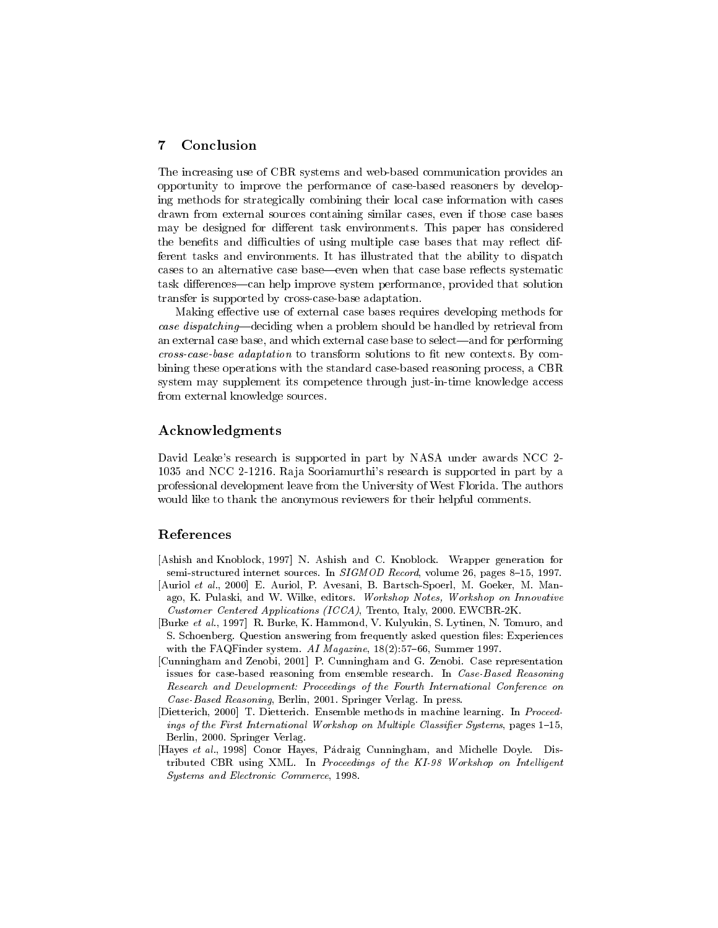### $\overline{7}$ **Conclusion**

The increasing use of CBR systems and web-based communication provides an opportunity to improve the performance of case-based reasoners by developing methods for strategically combining their local case information with cases drawn from external sources containing similar cases, even if those case bases may be designed for different task environments. This paper has considered the benefits and difficulties of using multiple case bases that may reflect different tasks and environments. It has illustrated that the ability to dispatch cases to an alternative case base—even when that case base reflects systematic task differences—can help improve system performance, provided that solution transfer is supported by cross-case-base adaptation.

Making effective use of external case bases requires developing methods for case dispatching—deciding when a problem should be handled by retrieval from an external case base, and which external case base to select—and for performing cross-case-value adaptation to transform solutions to he hen contexts. By combining these operations with the standard case-based reasoning process, a CBR system may supplement its competence through just-in-time knowledge access from external knowledge sources.

## Acknowledgments

David Leake's research is supported in part by NASA under awards NCC 2-1035 and NCC 2-1216. Raja Sooriamurthi's research is supported in part by a professional development leave from the University of West Florida. The authors would like to thank the anonymous reviewers for their helpful comments.

## References

- [Ashish and Knoblock, 1997] N. Ashish and C. Knoblock. Wrapper generation for semi-structured internet sources. In SIGMOD Record, volume 26, pages 8-15, 1997.
- [Auriol et al., 2000] E. Auriol, P. Avesani, B. Bartsch-Spoerl, M. Goeker, M. Manago, K. Pulaski, and W. Wilke, editors. Workshop Notes, Workshop on Innovative Customer Centered Applications (ICCA), Trento, Italy, 2000. EWCBR-2K.
- [Burke et al., 1997] R. Burke, K. Hammond, V. Kulyukin, S. Lytinen, N. Tomuro, and S. Schoenberg. Question answering from frequently asked question files: Experiences with the FAQFinder system. AI Magazine,  $18(2):57{-}66$ , Summer 1997.
- [Cunningham and Zenobi, 2001] P. Cunningham and G. Zenobi. Case representation issues for case-based reasoning from ensemble research. In Case-Based Reasoning Research and Development: Proceedings of the Fourth International Conference on Case-Based Reasoning, Berlin, 2001. Springer Verlag. In press.
- [Dietterich, 2000] T. Dietterich. Ensemble methods in machine learning. In Proceedings of the First International Workshop on Multiple Classifier Systems, pages 1-15, Berlin, 2000. Springer Verlag.
- [Hayes et al., 1998] Conor Hayes, Padraig Cunningham, and Michelle Doyle. Distributed CBR using XML. In Proceedings of the KI-98 Workshop on Intelligent Systems and Electronic Commerce, 1998.